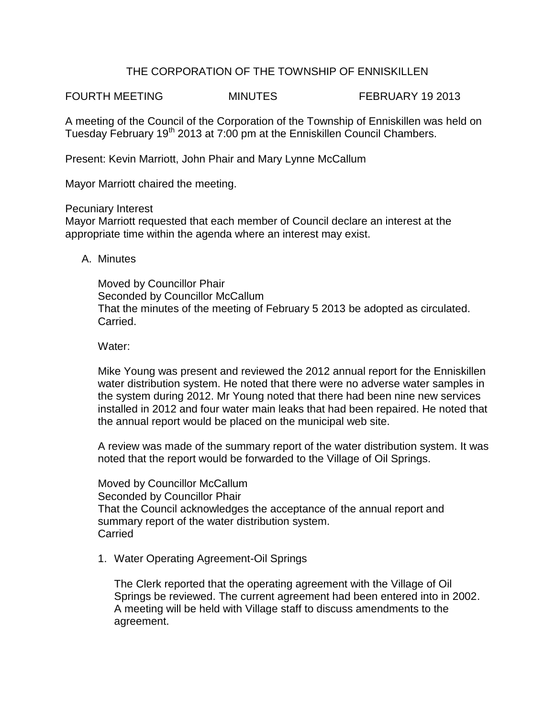## THE CORPORATION OF THE TOWNSHIP OF ENNISKILLEN

FOURTH MEETING MINUTES FEBRUARY 19 2013

A meeting of the Council of the Corporation of the Township of Enniskillen was held on Tuesday February 19<sup>th</sup> 2013 at 7:00 pm at the Enniskillen Council Chambers.

Present: Kevin Marriott, John Phair and Mary Lynne McCallum

Mayor Marriott chaired the meeting.

Pecuniary Interest

Mayor Marriott requested that each member of Council declare an interest at the appropriate time within the agenda where an interest may exist.

A. Minutes

Moved by Councillor Phair Seconded by Councillor McCallum That the minutes of the meeting of February 5 2013 be adopted as circulated. Carried.

Water:

Mike Young was present and reviewed the 2012 annual report for the Enniskillen water distribution system. He noted that there were no adverse water samples in the system during 2012. Mr Young noted that there had been nine new services installed in 2012 and four water main leaks that had been repaired. He noted that the annual report would be placed on the municipal web site.

A review was made of the summary report of the water distribution system. It was noted that the report would be forwarded to the Village of Oil Springs.

Moved by Councillor McCallum Seconded by Councillor Phair That the Council acknowledges the acceptance of the annual report and summary report of the water distribution system. Carried

1. Water Operating Agreement-Oil Springs

The Clerk reported that the operating agreement with the Village of Oil Springs be reviewed. The current agreement had been entered into in 2002. A meeting will be held with Village staff to discuss amendments to the agreement.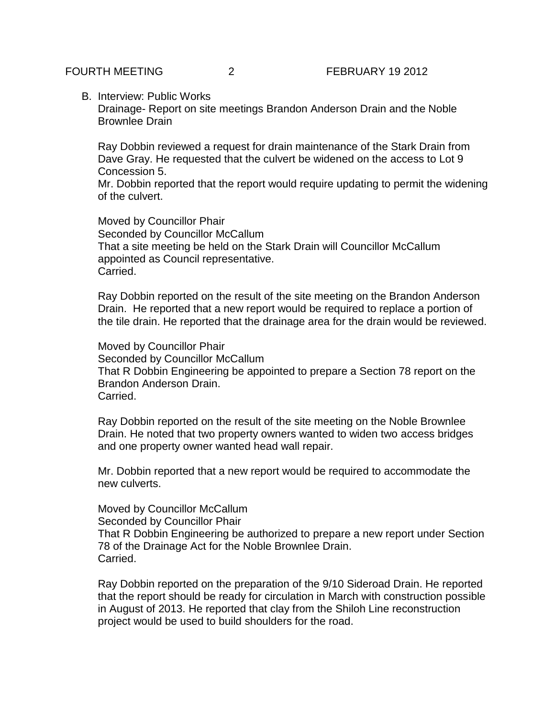B. Interview: Public Works

Drainage- Report on site meetings Brandon Anderson Drain and the Noble Brownlee Drain

Ray Dobbin reviewed a request for drain maintenance of the Stark Drain from Dave Gray. He requested that the culvert be widened on the access to Lot 9 Concession 5.

Mr. Dobbin reported that the report would require updating to permit the widening of the culvert.

Moved by Councillor Phair Seconded by Councillor McCallum That a site meeting be held on the Stark Drain will Councillor McCallum appointed as Council representative. Carried.

Ray Dobbin reported on the result of the site meeting on the Brandon Anderson Drain. He reported that a new report would be required to replace a portion of the tile drain. He reported that the drainage area for the drain would be reviewed.

Moved by Councillor Phair Seconded by Councillor McCallum That R Dobbin Engineering be appointed to prepare a Section 78 report on the Brandon Anderson Drain. Carried.

Ray Dobbin reported on the result of the site meeting on the Noble Brownlee Drain. He noted that two property owners wanted to widen two access bridges and one property owner wanted head wall repair.

Mr. Dobbin reported that a new report would be required to accommodate the new culverts.

Moved by Councillor McCallum Seconded by Councillor Phair That R Dobbin Engineering be authorized to prepare a new report under Section 78 of the Drainage Act for the Noble Brownlee Drain. Carried.

Ray Dobbin reported on the preparation of the 9/10 Sideroad Drain. He reported that the report should be ready for circulation in March with construction possible in August of 2013. He reported that clay from the Shiloh Line reconstruction project would be used to build shoulders for the road.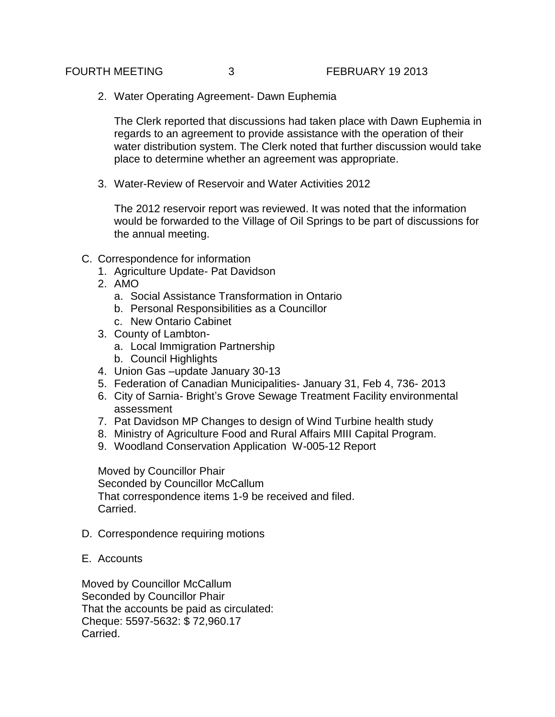2. Water Operating Agreement- Dawn Euphemia

The Clerk reported that discussions had taken place with Dawn Euphemia in regards to an agreement to provide assistance with the operation of their water distribution system. The Clerk noted that further discussion would take place to determine whether an agreement was appropriate.

3. Water-Review of Reservoir and Water Activities 2012

The 2012 reservoir report was reviewed. It was noted that the information would be forwarded to the Village of Oil Springs to be part of discussions for the annual meeting.

- C. Correspondence for information
	- 1. Agriculture Update- Pat Davidson
	- 2. AMO
		- a. Social Assistance Transformation in Ontario
		- b. Personal Responsibilities as a Councillor
		- c. New Ontario Cabinet
	- 3. County of Lambton
		- a. Local Immigration Partnership
		- b. Council Highlights
	- 4. Union Gas –update January 30-13
	- 5. Federation of Canadian Municipalities- January 31, Feb 4, 736- 2013
	- 6. City of Sarnia- Bright's Grove Sewage Treatment Facility environmental assessment
	- 7. Pat Davidson MP Changes to design of Wind Turbine health study
	- 8. Ministry of Agriculture Food and Rural Affairs MIII Capital Program.
	- 9. Woodland Conservation Application W-005-12 Report

Moved by Councillor Phair Seconded by Councillor McCallum That correspondence items 1-9 be received and filed. Carried.

- D. Correspondence requiring motions
- E. Accounts

Moved by Councillor McCallum Seconded by Councillor Phair That the accounts be paid as circulated: Cheque: 5597-5632: \$ 72,960.17 Carried.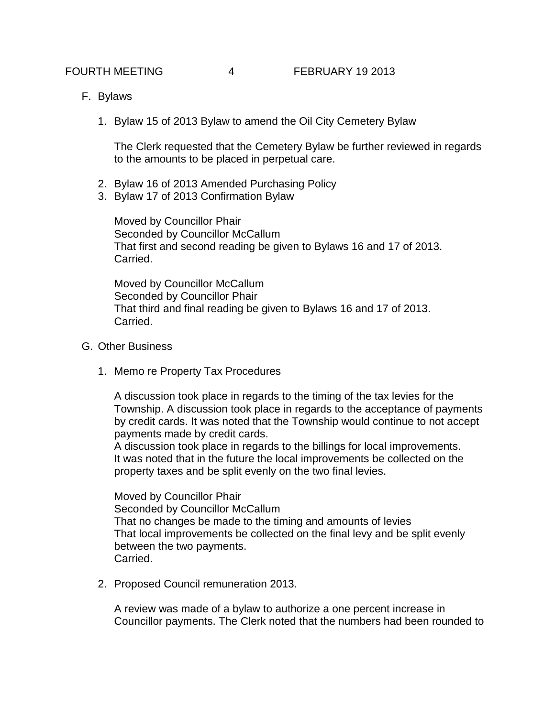- F. Bylaws
	- 1. Bylaw 15 of 2013 Bylaw to amend the Oil City Cemetery Bylaw

The Clerk requested that the Cemetery Bylaw be further reviewed in regards to the amounts to be placed in perpetual care.

- 2. Bylaw 16 of 2013 Amended Purchasing Policy
- 3. Bylaw 17 of 2013 Confirmation Bylaw

Moved by Councillor Phair Seconded by Councillor McCallum That first and second reading be given to Bylaws 16 and 17 of 2013. Carried.

Moved by Councillor McCallum Seconded by Councillor Phair That third and final reading be given to Bylaws 16 and 17 of 2013. Carried.

- G. Other Business
	- 1. Memo re Property Tax Procedures

A discussion took place in regards to the timing of the tax levies for the Township. A discussion took place in regards to the acceptance of payments by credit cards. It was noted that the Township would continue to not accept payments made by credit cards.

A discussion took place in regards to the billings for local improvements. It was noted that in the future the local improvements be collected on the property taxes and be split evenly on the two final levies.

Moved by Councillor Phair

Seconded by Councillor McCallum That no changes be made to the timing and amounts of levies That local improvements be collected on the final levy and be split evenly between the two payments. Carried.

2. Proposed Council remuneration 2013.

A review was made of a bylaw to authorize a one percent increase in Councillor payments. The Clerk noted that the numbers had been rounded to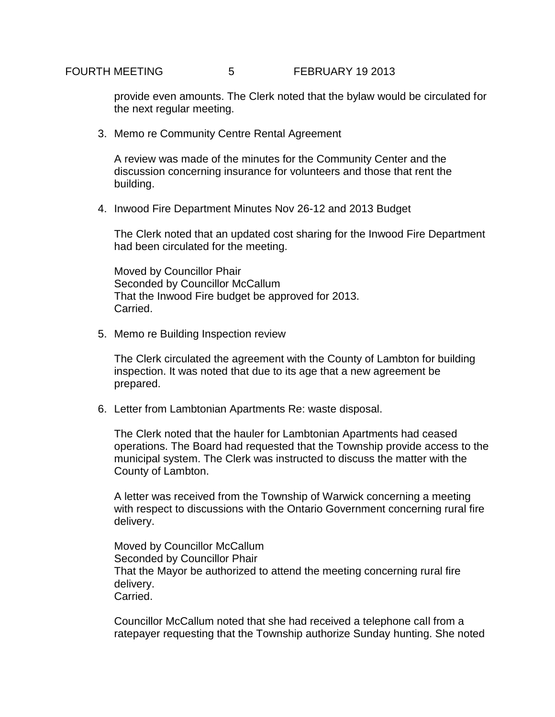provide even amounts. The Clerk noted that the bylaw would be circulated for the next regular meeting.

3. Memo re Community Centre Rental Agreement

A review was made of the minutes for the Community Center and the discussion concerning insurance for volunteers and those that rent the building.

4. Inwood Fire Department Minutes Nov 26-12 and 2013 Budget

The Clerk noted that an updated cost sharing for the Inwood Fire Department had been circulated for the meeting.

Moved by Councillor Phair Seconded by Councillor McCallum That the Inwood Fire budget be approved for 2013. Carried.

5. Memo re Building Inspection review

The Clerk circulated the agreement with the County of Lambton for building inspection. It was noted that due to its age that a new agreement be prepared.

6. Letter from Lambtonian Apartments Re: waste disposal.

The Clerk noted that the hauler for Lambtonian Apartments had ceased operations. The Board had requested that the Township provide access to the municipal system. The Clerk was instructed to discuss the matter with the County of Lambton.

A letter was received from the Township of Warwick concerning a meeting with respect to discussions with the Ontario Government concerning rural fire delivery.

Moved by Councillor McCallum Seconded by Councillor Phair That the Mayor be authorized to attend the meeting concerning rural fire delivery. Carried.

Councillor McCallum noted that she had received a telephone call from a ratepayer requesting that the Township authorize Sunday hunting. She noted